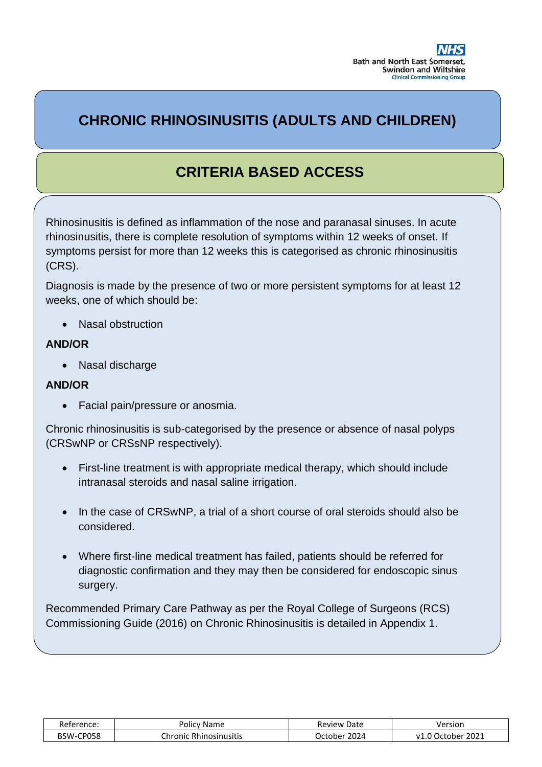# **CHRONIC RHINOSINUSITIS (ADULTS AND CHILDREN)**

L

# **CRITERIA BASED ACCESS**

Rhinosinusitis is defined as inflammation of the nose and paranasal sinuses. In acute rhinosinusitis, there is complete resolution of symptoms within 12 weeks of onset. If symptoms persist for more than 12 weeks this is categorised as chronic rhinosinusitis (CRS).

Diagnosis is made by the presence of two or more persistent symptoms for at least 12 weeks, one of which should be:

• Nasal obstruction

# **AND/OR**

• Nasal discharge

## **AND/OR**

• Facial pain/pressure or anosmia.

Chronic rhinosinusitis is sub-categorised by the presence or absence of nasal polyps (CRSwNP or CRSsNP respectively).

- First-line treatment is with appropriate medical therapy, which should include intranasal steroids and nasal saline irrigation.
- In the case of CRSwNP, a trial of a short course of oral steroids should also be considered.
- Where first-line medical treatment has failed, patients should be referred for diagnostic confirmation and they may then be considered for endoscopic sinus surgery.

Recommended Primary Care Pathway as per the Royal College of Surgeons (RCS) Commissioning Guide (2016) on Chronic Rhinosinusitis is detailed in Appendix 1.

| Reference: | <b>Policy Name</b>     | <b>Review Date</b> | Version                 |
|------------|------------------------|--------------------|-------------------------|
| BSW-CP058  | Chronic Rhinosinusitis | 2024<br>wortober i | 2021<br>ı October<br>v1 |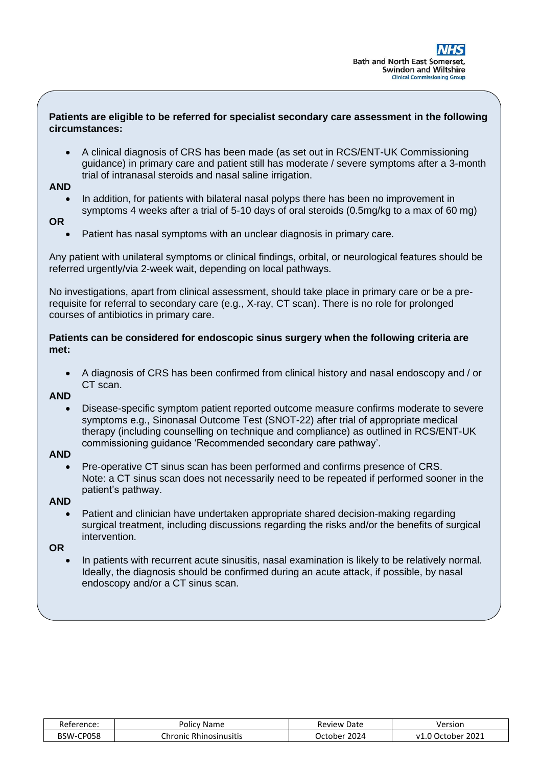## **Patients are eligible to be referred for specialist secondary care assessment in the following circumstances:**

 $\overline{a}$ 

• A clinical diagnosis of CRS has been made (as set out in RCS/ENT-UK Commissioning guidance) in primary care and patient still has moderate / severe symptoms after a 3-month trial of intranasal steroids and nasal saline irrigation.

#### **AND**

• In addition, for patients with bilateral nasal polyps there has been no improvement in symptoms 4 weeks after a trial of 5-10 days of oral steroids (0.5mg/kg to a max of 60 mg)

## **OR**

• Patient has nasal symptoms with an unclear diagnosis in primary care.

Any patient with unilateral symptoms or clinical findings, orbital, or neurological features should be referred urgently/via 2-week wait, depending on local pathways.

No investigations, apart from clinical assessment, should take place in primary care or be a prerequisite for referral to secondary care (e.g., X-ray, CT scan). There is no role for prolonged courses of antibiotics in primary care.

## **Patients can be considered for endoscopic sinus surgery when the following criteria are met:**

• A diagnosis of CRS has been confirmed from clinical history and nasal endoscopy and / or CT scan.

#### **AND**

• Disease-specific symptom patient reported outcome measure confirms moderate to severe symptoms e.g., Sinonasal Outcome Test (SNOT-22) after trial of appropriate medical therapy (including counselling on technique and compliance) as outlined in RCS/ENT-UK commissioning guidance 'Recommended secondary care pathway'.

## **AND**

• Pre-operative CT sinus scan has been performed and confirms presence of CRS. Note: a CT sinus scan does not necessarily need to be repeated if performed sooner in the patient's pathway.

## **AND**

• Patient and clinician have undertaken appropriate shared decision-making regarding surgical treatment, including discussions regarding the risks and/or the benefits of surgical intervention.

**OR**

• In patients with recurrent acute sinusitis, nasal examination is likely to be relatively normal. Ideally, the diagnosis should be confirmed during an acute attack, if possible, by nasal endoscopy and/or a CT sinus scan.

| Reference:    | Name<br>Policy                   | Date<br>Review     | /ersion               |
|---------------|----------------------------------|--------------------|-----------------------|
| CP058<br>BSW· | .<br>:hronic<br>: Rhinosinusitis | 2024<br>. )rtoher. | 2021<br>October<br>v1 |